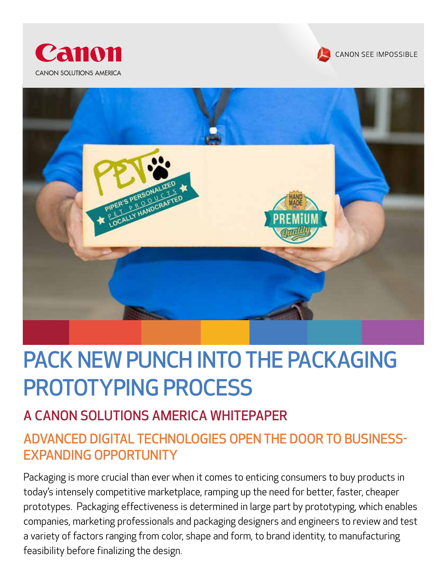





# PACK NEW PUNCH INTO THE PACKAGING PROTOTYPING PROCESS

# A CANON SOLUTIONS AMERICA WHITEPAPER

# ADVANCED DIGITAL TECHNOLOGIES OPEN THE DOOR TO BUSINESS-EXPANDING OPPORTUNITY

Packaging is more crucial than ever when it comes to enticing consumers to buy products in today's intensely competitive marketplace, ramping up the need for better, faster, cheaper prototypes. Packaging effectiveness is determined in large part by prototyping, which enables companies, marketing professionals and packaging designers and engineers to review and test a variety of factors ranging from color, shape and form, to brand identity, to manufacturing feasibility before finalizing the design.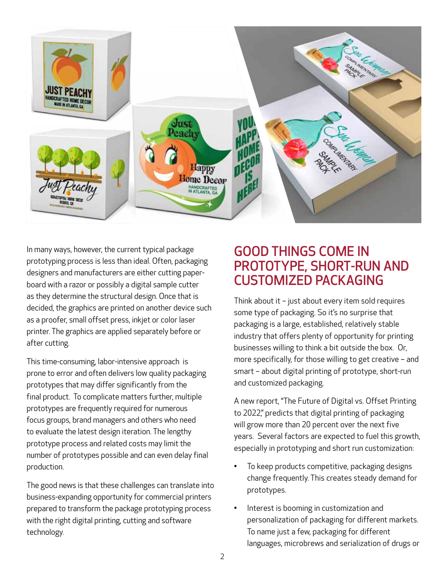

In many ways, however, the current typical package prototyping process is less than ideal. Often, packaging designers and manufacturers are either cutting paperboard with a razor or possibly a digital sample cutter as they determine the structural design. Once that is decided, the graphics are printed on another device such as a proofer, small offset press, inkjet or color laser printer. The graphics are applied separately before or after cutting.

This time-consuming, labor-intensive approach is prone to error and often delivers low quality packaging prototypes that may differ significantly from the final product. To complicate matters further, multiple prototypes are frequently required for numerous focus groups, brand managers and others who need to evaluate the latest design iteration. The lengthy prototype process and related costs may limit the number of prototypes possible and can even delay final production.

The good news is that these challenges can translate into business-expanding opportunity for commercial printers prepared to transform the package prototyping process with the right digital printing, cutting and software technology.

#### GOOD THINGS COME IN PROTOTYPE, SHORT-RUN AND CUSTOMIZED PACKAGING

Think about it – just about every item sold requires some type of packaging. So it's no surprise that packaging is a large, established, relatively stable industry that offers plenty of opportunity for printing businesses willing to think a bit outside the box. Or, more specifically, for those willing to get creative – and smart – about digital printing of prototype, short-run and customized packaging.

A new report, "The Future of Digital vs. Offset Printing to 2022," predicts that digital printing of packaging will grow more than 20 percent over the next five years. Several factors are expected to fuel this growth, especially in prototyping and short run customization:

- To keep products competitive, packaging designs change frequently. This creates steady demand for prototypes.
- Interest is booming in customization and personalization of packaging for different markets. To name just a few, packaging for different languages, microbrews and serialization of drugs or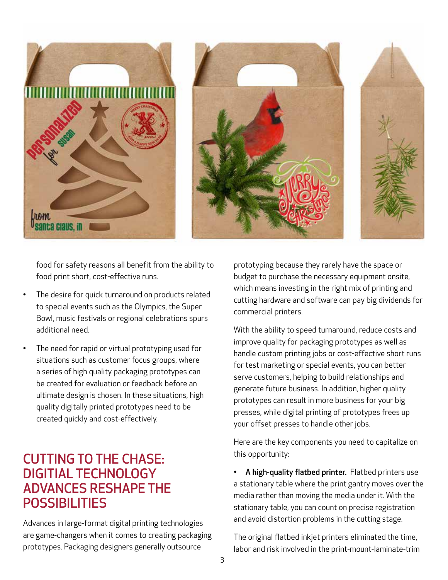

food for safety reasons all benefit from the ability to food print short, cost-effective runs.

- The desire for quick turnaround on products related to special events such as the Olympics, the Super Bowl, music festivals or regional celebrations spurs additional need.
- The need for rapid or virtual prototyping used for situations such as customer focus groups, where a series of high quality packaging prototypes can be created for evaluation or feedback before an ultimate design is chosen. In these situations, high quality digitally printed prototypes need to be created quickly and cost-effectively.

#### CUTTING TO THE CHASE: DIGITIAL TECHNOLOGY ADVANCES RESHAPE THE **POSSIBILITIES**

Advances in large-format digital printing technologies are game-changers when it comes to creating packaging prototypes. Packaging designers generally outsource

prototyping because they rarely have the space or budget to purchase the necessary equipment onsite, which means investing in the right mix of printing and cutting hardware and software can pay big dividends for commercial printers.

With the ability to speed turnaround, reduce costs and improve quality for packaging prototypes as well as handle custom printing jobs or cost-effective short runs for test marketing or special events, you can better serve customers, helping to build relationships and generate future business. In addition, higher quality prototypes can result in more business for your big presses, while digital printing of prototypes frees up your offset presses to handle other jobs.

Here are the key components you need to capitalize on this opportunity:

A high-quality flatbed printer. Flatbed printers use a stationary table where the print gantry moves over the media rather than moving the media under it. With the stationary table, you can count on precise registration and avoid distortion problems in the cutting stage.

The original flatbed inkjet printers eliminated the time, labor and risk involved in the print-mount-laminate-trim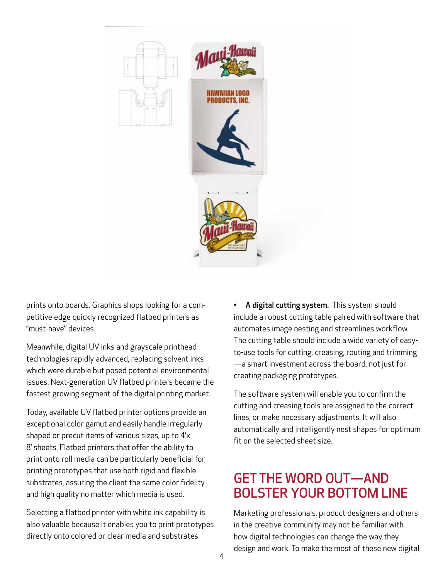

prints onto boards. Graphics shops looking for a competitive edge quickly recognized flatbed printers as "must-have" devices.

Meanwhile, digital UV inks and grayscale printhead technologies rapidly advanced, replacing solvent inks which were durable but posed potential environmental issues. Next-generation UV flatbed printers became the fastest growing segment of the digital printing market.

Today, available UV flatbed printer options provide an exceptional color gamut and easily handle irregularly shaped or precut items of various sizes, up to 4'x 8' sheets. Flatbed printers that offer the ability to print onto roll media can be particularly beneficial for printing prototypes that use both rigid and flexible substrates, assuring the client the same color fidelity and high quality no matter which media is used.

Selecting a flatbed printer with white ink capability is also valuable because it enables you to print prototypes directly onto colored or clear media and substrates.

• A digital cutting system. This system should include a robust cutting table paired with software that automates image nesting and streamlines workflow. The cutting table should include a wide variety of easyto-use tools for cutting, creasing, routing and trimming —a smart investment across the board, not just for creating packaging prototypes.

The software system will enable you to confirm the cutting and creasing tools are assigned to the correct lines, or make necessary adjustments. It will also automatically and intelligently nest shapes for optimum fit on the selected sheet size.

### GET THE WORD OUT—AND BOLSTER YOUR BOTTOM LINE

Marketing professionals, product designers and others in the creative community may not be familiar with how digital technologies can change the way they design and work. To make the most of these new digital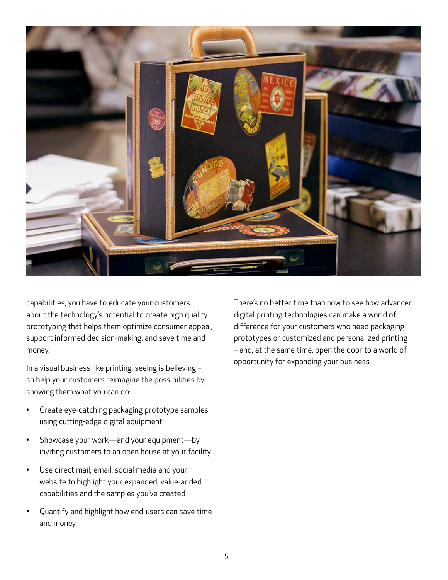

capabilities, you have to educate your customers about the technology's potential to create high quality prototyping that helps them optimize consumer appeal, support informed decision-making, and save time and money.

In a visual business like printing, seeing is believing – so help your customers reimagine the possibilities by showing them what you can do:

- Create eye-catching packaging prototype samples using cutting-edge digital equipment
- Showcase your work—and your equipment—by inviting customers to an open house at your facility
- Use direct mail, email, social media and your website to highlight your expanded, value-added capabilities and the samples you've created
- Quantify and highlight how end-users can save time and money

There's no better time than now to see how advanced digital printing technologies can make a world of difference for your customers who need packaging prototypes or customized and personalized printing – and, at the same time, open the door to a world of opportunity for expanding your business.